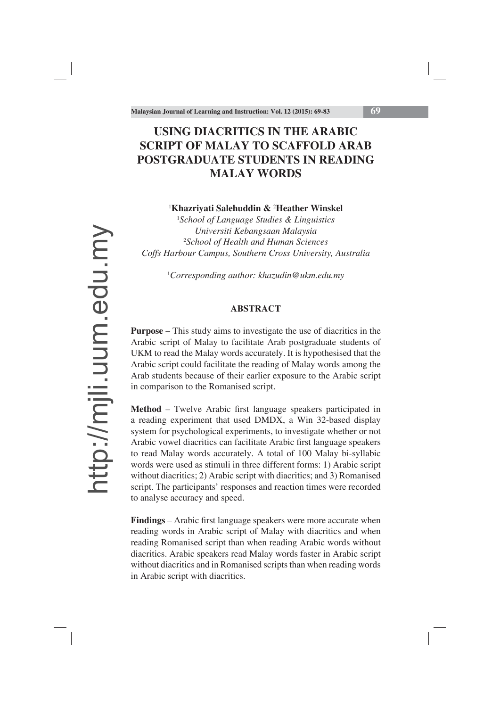# **USING DIACRITICS IN THE ARABIC SCRIPT OF MALAY TO SCAFFOLD ARAB POSTGRADUATE STUDENTS IN READING MALAY WORDS**

# 1 **Khazriyati Salehuddin &** <sup>2</sup> **Heather Winskel**

1 *School of Language Studies & Linguistics Universiti Kebangsaan Malaysia* 2 *School of Health and Human Sciences Coffs Harbour Campus, Southern Cross University, Australia*

1 *Corresponding author: khazudin@ukm.edu.my* 

# **ABSTRACT**

**Purpose** – This study aims to investigate the use of diacritics in the Arabic script of Malay to facilitate Arab postgraduate students of UKM to read the Malay words accurately. It is hypothesised that the Arabic script could facilitate the reading of Malay words among the Arab students because of their earlier exposure to the Arabic script in comparison to the Romanised script.

**Method** – Twelve Arabic first language speakers participated in a reading experiment that used DMDX, a Win 32-based display system for psychological experiments, to investigate whether or not Arabic vowel diacritics can facilitate Arabic first language speakers to read Malay words accurately. A total of 100 Malay bi-syllabic words were used as stimuli in three different forms: 1) Arabic script without diacritics; 2) Arabic script with diacritics; and 3) Romanised script. The participants' responses and reaction times were recorded to analyse accuracy and speed.

Findings – Arabic first language speakers were more accurate when reading words in Arabic script of Malay with diacritics and when reading Romanised script than when reading Arabic words without diacritics. Arabic speakers read Malay words faster in Arabic script without diacritics and in Romanised scripts than when reading words in Arabic script with diacritics.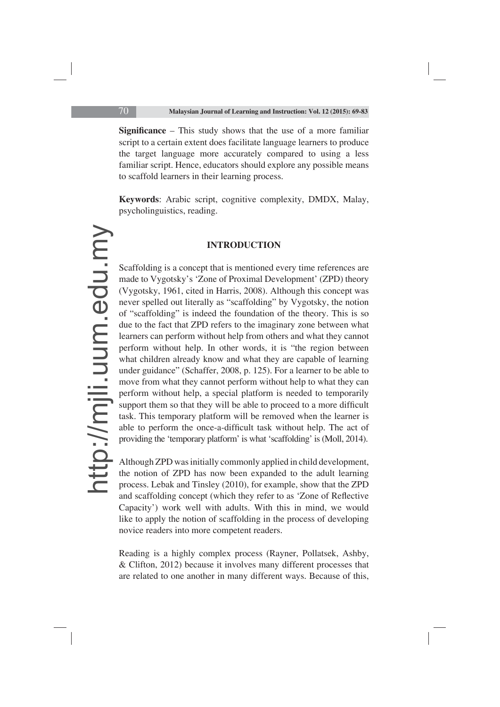**Significance** – This study shows that the use of a more familiar script to a certain extent does facilitate language learners to produce the target language more accurately compared to using a less familiar script. Hence, educators should explore any possible means to scaffold learners in their learning process.

**Keywords**: Arabic script, cognitive complexity, DMDX, Malay, psycholinguistics, reading.

## **INTRODUCTION**

Scaffolding is a concept that is mentioned every time references are made to Vygotsky's 'Zone of Proximal Development' (ZPD) theory (Vygotsky, 1961, cited in Harris, 2008). Although this concept was never spelled out literally as "scaffolding" by Vygotsky, the notion of "scaffolding" is indeed the foundation of the theory. This is so due to the fact that ZPD refers to the imaginary zone between what learners can perform without help from others and what they cannot perform without help. In other words, it is "the region between what children already know and what they are capable of learning under guidance" (Schaffer, 2008, p. 125). For a learner to be able to move from what they cannot perform without help to what they can perform without help, a special platform is needed to temporarily support them so that they will be able to proceed to a more difficult task. This temporary platform will be removed when the learner is able to perform the once-a-difficult task without help. The act of providing the 'temporary platform' is what 'scaffolding' is (Moll, 2014).

Although ZPD was initially commonly applied in child development, the notion of ZPD has now been expanded to the adult learning process. Lebak and Tinsley (2010), for example, show that the ZPD and scaffolding concept (which they refer to as 'Zone of Reflective Capacity') work well with adults. With this in mind, we would like to apply the notion of scaffolding in the process of developing novice readers into more competent readers.

Reading is a highly complex process (Rayner, Pollatsek, Ashby, & Clifton, 2012) because it involves many different processes that are related to one another in many different ways. Because of this,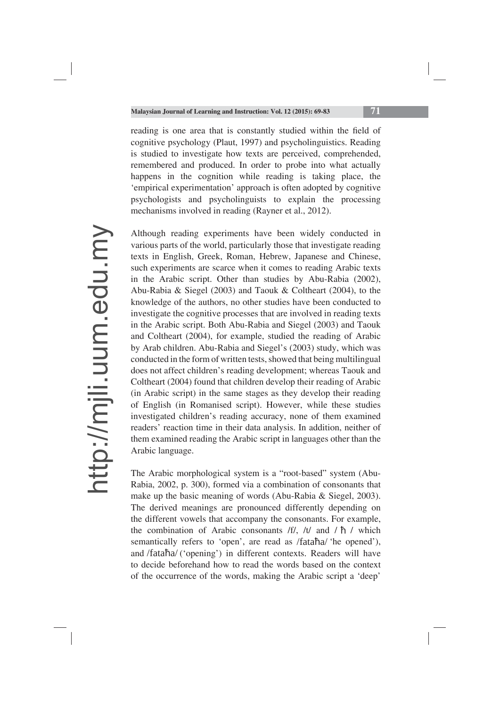reading is one area that is constantly studied within the field of cognitive psychology (Plaut, 1997) and psycholinguistics. Reading is studied to investigate how texts are perceived, comprehended, remembered and produced. In order to probe into what actually happens in the cognition while reading is taking place, the 'empirical experimentation' approach is often adopted by cognitive psychologists and psycholinguists to explain the processing mechanisms involved in reading (Rayner et al., 2012).

Although reading experiments have been widely conducted in various parts of the world, particularly those that investigate reading texts in English, Greek, Roman, Hebrew, Japanese and Chinese, such experiments are scarce when it comes to reading Arabic texts in the Arabic script. Other than studies by Abu-Rabia (2002), Abu-Rabia & Siegel (2003) and Taouk & Coltheart (2004), to the knowledge of the authors, no other studies have been conducted to investigate the cognitive processes that are involved in reading texts in the Arabic script. Both Abu-Rabia and Siegel (2003) and Taouk and Coltheart (2004), for example, studied the reading of Arabic by Arab children. Abu-Rabia and Siegel's (2003) study, which was conducted in the form of written tests, showed that being multilingual does not affect children's reading development; whereas Taouk and Coltheart (2004) found that children develop their reading of Arabic (in Arabic script) in the same stages as they develop their reading of English (in Romanised script). However, while these studies investigated children's reading accuracy, none of them examined readers' reaction time in their data analysis. In addition, neither of them examined reading the Arabic script in languages other than the Arabic language.

The Arabic morphological system is a "root-based" system (Abu-Rabia, 2002, p. 300), formed via a combination of consonants that make up the basic meaning of words (Abu-Rabia & Siegel, 2003). The derived meanings are pronounced differently depending on the different vowels that accompany the consonants. For example, the combination of Arabic consonants  $/f/$ ,  $/t/$  and  $/\hbar$  / which semantically refers to 'open', are read as /fataha/ 'he opened'), and /fataha/ ('opening') in different contexts. Readers will have to decide beforehand how to read the words based on the context of the occurrence of the words, making the Arabic script a 'deep'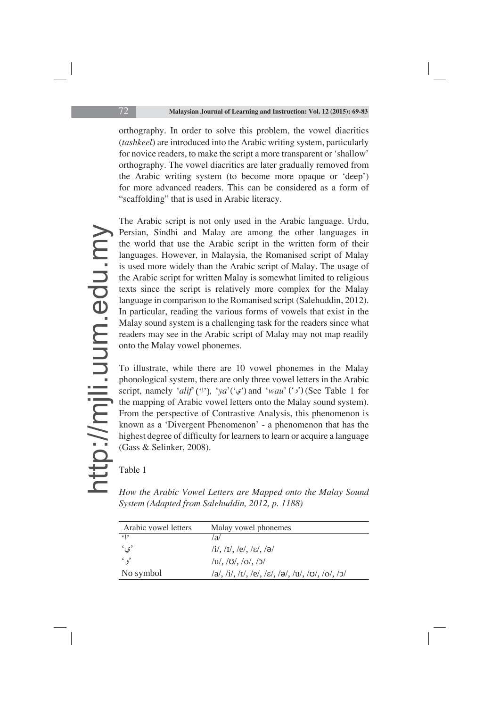orthography. In order to solve this problem, the vowel diacritics (*tashkeel*) are introduced into the Arabic writing system, particularly for novice readers, to make the script a more transparent or 'shallow' orthography. The vowel diacritics are later gradually removed from the Arabic writing system (to become more opaque or 'deep') for more advanced readers. This can be considered as a form of "scaffolding" that is used in Arabic literacy.

The Arabic script is not only used in the Arabic language. Urdu, Persian, Sindhi and Malay are among the other languages in the world that use the Arabic script in the written form of their languages. However, in Malaysia, the Romanised script of Malay is used more widely than the Arabic script of Malay. The usage of the Arabic script for written Malay is somewhat limited to religious texts since the script is relatively more complex for the Malay language in comparison to the Romanised script (Salehuddin, 2012). In particular, reading the various forms of vowels that exist in the Malay sound system is a challenging task for the readers since what readers may see in the Arabic script of Malay may not map readily onto the Malay vowel phonemes.

To illustrate, while there are 10 vowel phonemes in the Malay phonological system, there are only three vowel letters in the Arabic script, namely '*alif*' (''), '*ya*' (' $\varphi$ ') and '*wau*' (' $\varphi$ ') (See Table 1 for the mapping of Arabic vowel letters onto the Malay sound system). From the perspective of Contrastive Analysis, this phenomenon is known as a 'Divergent Phenomenon' - a phenomenon that has the highest degree of difficulty for learners to learn or acquire a language (Gass & Selinker, 2008).

Table 1

*How the Arabic Vowel Letters are Mapped onto the Malay Sound System (Adapted from Salehuddin, 2012, p. 1188)*

| Arabic vowel letters | Malay vowel phonemes                             |
|----------------------|--------------------------------------------------|
| 619                  | /a/                                              |
| 'ي'                  | $/i/$ , $/I/$ , $/e/$ , $/e/$ , $/a/$            |
| $\cdot$ $\cdot$      | $/u/$ , $/\nu/$ , $/\nu/$ , $/\nu/$              |
| No symbol            | /a/, /i/, /ɪ/, /e/, /ɛ/, /ə/, /u/, /ʊ/, /o/, /ɔ/ |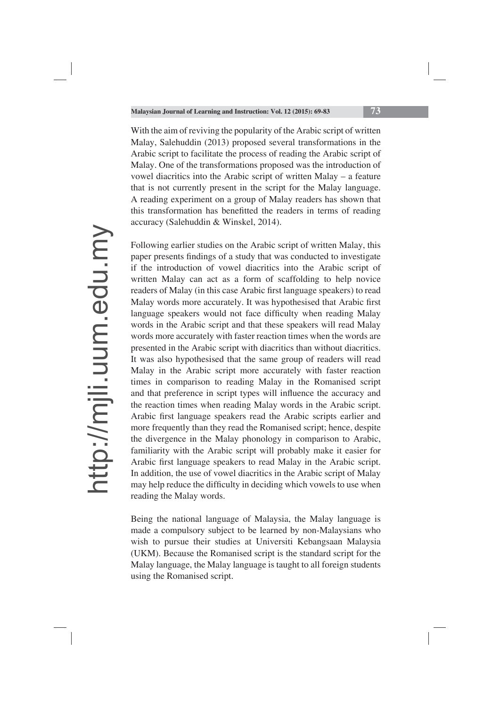With the aim of reviving the popularity of the Arabic script of written Malay, Salehuddin (2013) proposed several transformations in the Arabic script to facilitate the process of reading the Arabic script of Malay. One of the transformations proposed was the introduction of vowel diacritics into the Arabic script of written Malay – a feature that is not currently present in the script for the Malay language. A reading experiment on a group of Malay readers has shown that this transformation has benefitted the readers in terms of reading accuracy (Salehuddin & Winskel, 2014).

Following earlier studies on the Arabic script of written Malay, this paper presents findings of a study that was conducted to investigate if the introduction of vowel diacritics into the Arabic script of written Malay can act as a form of scaffolding to help novice readers of Malay (in this case Arabic first language speakers) to read Malay words more accurately. It was hypothesised that Arabic first language speakers would not face difficulty when reading Malay words in the Arabic script and that these speakers will read Malay words more accurately with faster reaction times when the words are presented in the Arabic script with diacritics than without diacritics. It was also hypothesised that the same group of readers will read Malay in the Arabic script more accurately with faster reaction times in comparison to reading Malay in the Romanised script and that preference in script types will influence the accuracy and the reaction times when reading Malay words in the Arabic script. Arabic first language speakers read the Arabic scripts earlier and more frequently than they read the Romanised script; hence, despite the divergence in the Malay phonology in comparison to Arabic, familiarity with the Arabic script will probably make it easier for Arabic first language speakers to read Malay in the Arabic script. In addition, the use of vowel diacritics in the Arabic script of Malay may help reduce the difficulty in deciding which vowels to use when reading the Malay words.

Being the national language of Malaysia, the Malay language is made a compulsory subject to be learned by non-Malaysians who wish to pursue their studies at Universiti Kebangsaan Malaysia (UKM). Because the Romanised script is the standard script for the Malay language, the Malay language is taught to all foreign students using the Romanised script.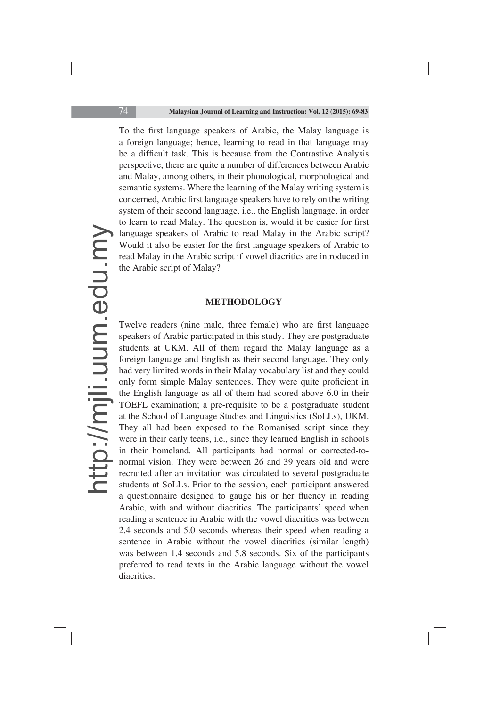To the first language speakers of Arabic, the Malay language is a foreign language; hence, learning to read in that language may be a difficult task. This is because from the Contrastive Analysis perspective, there are quite a number of differences between Arabic and Malay, among others, in their phonological, morphological and semantic systems. Where the learning of the Malay writing system is concerned, Arabic first language speakers have to rely on the writing system of their second language, i.e., the English language, in order to learn to read Malay. The question is, would it be easier for first language speakers of Arabic to read Malay in the Arabic script? Would it also be easier for the first language speakers of Arabic to read Malay in the Arabic script if vowel diacritics are introduced in the Arabic script of Malay?

## **METHODOLOGY**

Twelve readers (nine male, three female) who are first language speakers of Arabic participated in this study. They are postgraduate students at UKM. All of them regard the Malay language as a foreign language and English as their second language. They only had very limited words in their Malay vocabulary list and they could only form simple Malay sentences. They were quite proficient in the English language as all of them had scored above 6.0 in their TOEFL examination; a pre-requisite to be a postgraduate student at the School of Language Studies and Linguistics (SoLLs), UKM. They all had been exposed to the Romanised script since they were in their early teens, i.e., since they learned English in schools in their homeland. All participants had normal or corrected-tonormal vision. They were between 26 and 39 years old and were recruited after an invitation was circulated to several postgraduate students at SoLLs. Prior to the session, each participant answered a questionnaire designed to gauge his or her fluency in reading Arabic, with and without diacritics. The participants' speed when reading a sentence in Arabic with the vowel diacritics was between 2.4 seconds and 5.0 seconds whereas their speed when reading a sentence in Arabic without the vowel diacritics (similar length) was between 1.4 seconds and 5.8 seconds. Six of the participants preferred to read texts in the Arabic language without the vowel diacritics.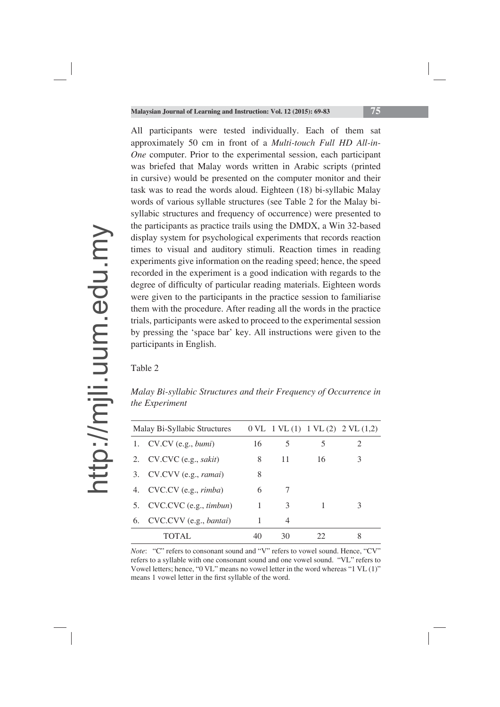All participants were tested individually. Each of them sat approximately 50 cm in front of a *Multi-touch Full HD All-in-One* computer. Prior to the experimental session, each participant was briefed that Malay words written in Arabic scripts (printed in cursive) would be presented on the computer monitor and their task was to read the words aloud. Eighteen (18) bi-syllabic Malay words of various syllable structures (see Table 2 for the Malay bisyllabic structures and frequency of occurrence) were presented to the participants as practice trails using the DMDX, a Win 32-based display system for psychological experiments that records reaction times to visual and auditory stimuli. Reaction times in reading experiments give information on the reading speed; hence, the speed recorded in the experiment is a good indication with regards to the degree of difficulty of particular reading materials. Eighteen words were given to the participants in the practice session to familiarise them with the procedure. After reading all the words in the practice trials, participants were asked to proceed to the experimental session by pressing the 'space bar' key. All instructions were given to the participants in English.

## Table 2

*Malay Bi-syllabic Structures and their Frequency of Occurrence in the Experiment*

| Malay Bi-Syllabic Structures |                                 |    |    |    | $0 \, \text{VL}$ 1 VL (1) 1 VL (2) 2 VL (1,2) |
|------------------------------|---------------------------------|----|----|----|-----------------------------------------------|
| 1.                           | CV.CV (e.g., <i>bumi</i> )      | 16 | 5  | 5  | 2                                             |
|                              | 2. CV.CVC (e.g., sakit)         | 8  | 11 | 16 | 3                                             |
| 3.                           | CV.CVV (e.g., ramai)            | 8  |    |    |                                               |
|                              | 4. CVC.CV (e.g., <i>rimba</i> ) | 6  |    |    |                                               |
|                              | 5. CVC.CVC (e.g., timbun)       | 1  | 3  |    | 3                                             |
|                              | 6. CVC.CVV (e.g., bantai)       |    | 4  |    |                                               |
|                              | TOTAL                           | 40 | 30 | 22 | 8                                             |

*Note*: "C" refers to consonant sound and "V" refers to vowel sound. Hence, "CV" refers to a syllable with one consonant sound and one vowel sound. "VL" refers to Vowel letters; hence, "0 VL" means no vowel letter in the word whereas "1 VL (1)" means 1 vowel letter in the first syllable of the word.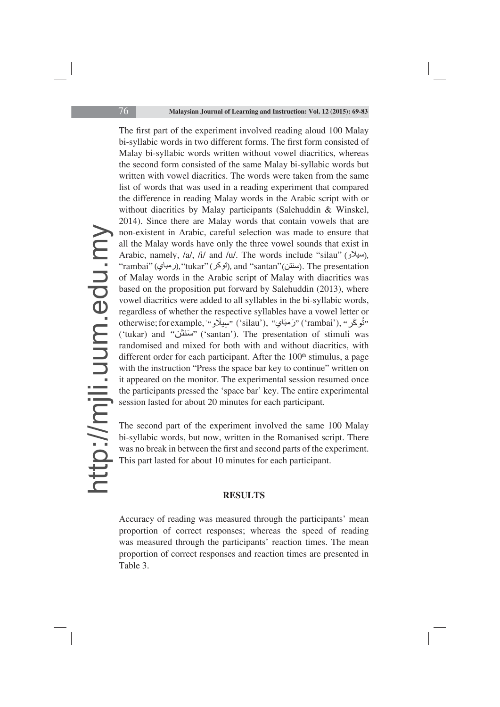The first part of the experiment involved reading aloud 100 Malay bi-syllabic words in two different forms. The first form consisted of Malay bi-syllabic words written without vowel diacritics, whereas the second form consisted of the same Malay bi-syllabic words but written with vowel diacritics. The words were taken from the same list of words that was used in a reading experiment that compared the difference in reading Malay words in the Arabic script with or without diacritics by Malay participants (Salehuddin & Winskel, 2014). Since there are Malay words that contain vowels that are non-existent in Arabic, careful selection was made to ensure that all the Malay words have only the three vowel sounds that exist in Arabic, namely, /a/, /i/ and /u/. The words include "silau" (سيلاو), "rambai" (الرمباي), "tukar" (بقوكر), and "santan" (سنتن). The presentation of Malay words in the Arabic script of Malay with diacritics was based on the proposition put forward by Salehuddin (2013), where vowel diacritics were added to all syllables in the bi-syllabic words, regardless of whether the respective syllables have a vowel letter or otherwise; for example, '''پيپلَاو ''' (silau'), ''رَمَبَاي'' ('rambai'), ''شُوكَر'' ('tukar) and "سَنتَن" ('santan'). The presentation of stimuli was randomised and mixed for both with and without diacritics, with different order for each participant. After the 100<sup>th</sup> stimulus, a page with the instruction "Press the space bar key to continue" written on it appeared on the monitor. The experimental session resumed once the participants pressed the 'space bar' key. The entire experimental session lasted for about 20 minutes for each participant.

The second part of the experiment involved the same 100 Malay bi-syllabic words, but now, written in the Romanised script. There was no break in between the first and second parts of the experiment. This part lasted for about 10 minutes for each participant.

## **RESULTS**

Accuracy of reading was measured through the participants' mean proportion of correct responses; whereas the speed of reading was measured through the participants' reaction times. The mean proportion of correct responses and reaction times are presented in Table 3.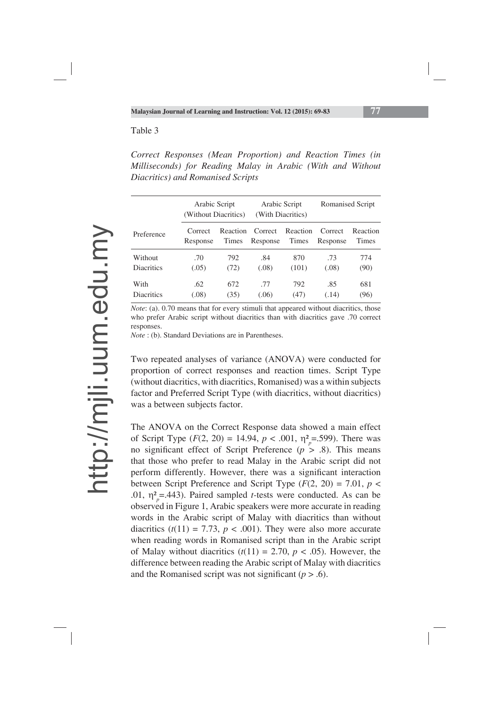#### Table 3

*Correct Responses (Mean Proportion) and Reaction Times (in Milliseconds) for Reading Malay in Arabic (With and Without Diacritics) and Romanised Scripts* 

|                   | Arabic Script<br>(Without Diacritics) |          | Arabic Script<br>(With Diacritics) |          | Romanised Script |          |
|-------------------|---------------------------------------|----------|------------------------------------|----------|------------------|----------|
| Preference        | Correct                               | Reaction | Correct                            | Reaction | Correct          | Reaction |
|                   | Response                              | Times    | Response                           | Times    | Response         | Times    |
| Without           | .70                                   | 792      | .84                                | 870      | .73              | 774      |
| <b>Diacritics</b> | (.05)                                 | (72)     | (.08)                              | (101)    | (.08)            | (90)     |
| With              | .62                                   | 672      | .77                                | 792      | .85              | 681      |
| <b>Diacritics</b> | (.08)                                 | (35)     | (.06)                              | (47)     | (.14)            | (96)     |

*Note*: (a). 0.70 means that for every stimuli that appeared without diacritics, those who prefer Arabic script without diacritics than with diacritics gave .70 correct responses.

*Note* : (b). Standard Deviations are in Parentheses.

Two repeated analyses of variance (ANOVA) were conducted for proportion of correct responses and reaction times. Script Type (without diacritics, with diacritics, Romanised) was a within subjects factor and Preferred Script Type (with diacritics, without diacritics) was a between subjects factor.

The ANOVA on the Correct Response data showed a main effect of Script Type ( $F(2, 20) = 14.94$ ,  $p < .001$ ,  $\eta_{p}^{2} = .599$ ). There was no significant effect of Script Preference  $(p > .8)$ . This means that those who prefer to read Malay in the Arabic script did not perform differently. However, there was a significant interaction between Script Preference and Script Type  $(F(2, 20) = 7.01, p <$ .01,  $\eta_{p}^{2}$ =.443). Paired sampled *t*-tests were conducted. As can be observed in Figure 1, Arabic speakers were more accurate in reading words in the Arabic script of Malay with diacritics than without diacritics  $(t(11) = 7.73, p < .001)$ . They were also more accurate when reading words in Romanised script than in the Arabic script of Malay without diacritics  $(t(11) = 2.70, p < .05)$ . However, the difference between reading the Arabic script of Malay with diacritics and the Romanised script was not significant  $(p > .6)$ .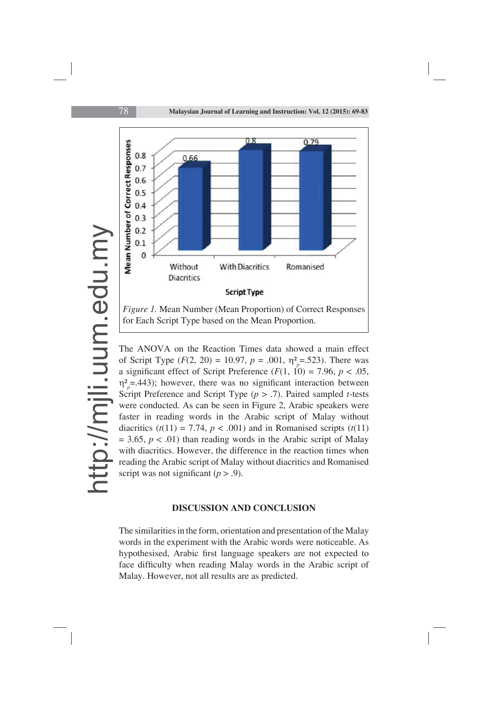

The ANOVA on the Reaction Times data showed a main effect of Script Type ( $F(2, 20) = 10.97$ ,  $p = .001$ ,  $\eta_{p}^{2} = .523$ ). There was a significant effect of Script Preference  $(F(1, 10) = 7.96, p < .05,$  $\eta_{\rho}^2$ =.443); however, there was no significant interaction between Script Preference and Script Type (*p* > .7). Paired sampled *t-*tests were conducted. As can be seen in Figure 2, Arabic speakers were faster in reading words in the Arabic script of Malay without diacritics  $(t(11) = 7.74, p < .001)$  and in Romanised scripts  $(t(11)$  $= 3.65, p < .01$ ) than reading words in the Arabic script of Malay with diacritics. However, the difference in the reaction times when reading the Arabic script of Malay without diacritics and Romanised script was not significant  $(p > .9)$ .

#### **DISCUSSION AND CONCLUSION**

The similarities in the form, orientation and presentation of the Malay words in the experiment with the Arabic words were noticeable. As hypothesised, Arabic first language speakers are not expected to face difficulty when reading Malay words in the Arabic script of Malay. However, not all results are as predicted.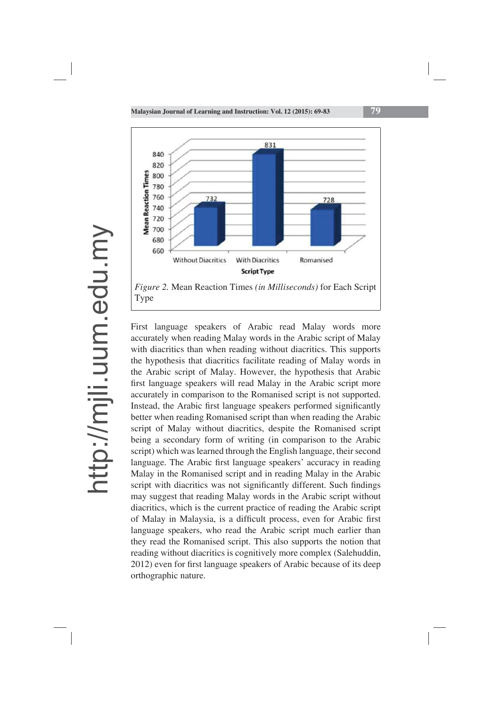

First language speakers of Arabic read Malay words more accurately when reading Malay words in the Arabic script of Malay with diacritics than when reading without diacritics. This supports the hypothesis that diacritics facilitate reading of Malay words in the Arabic script of Malay. However, the hypothesis that Arabic first language speakers will read Malay in the Arabic script more accurately in comparison to the Romanised script is not supported. Instead, the Arabic first language speakers performed significantly better when reading Romanised script than when reading the Arabic script of Malay without diacritics, despite the Romanised script being a secondary form of writing (in comparison to the Arabic script) which was learned through the English language, their second language. The Arabic first language speakers' accuracy in reading Malay in the Romanised script and in reading Malay in the Arabic script with diacritics was not significantly different. Such findings may suggest that reading Malay words in the Arabic script without diacritics, which is the current practice of reading the Arabic script of Malay in Malaysia, is a difficult process, even for Arabic first language speakers, who read the Arabic script much earlier than they read the Romanised script. This also supports the notion that reading without diacritics is cognitively more complex (Salehuddin, 2012) even for first language speakers of Arabic because of its deep orthographic nature.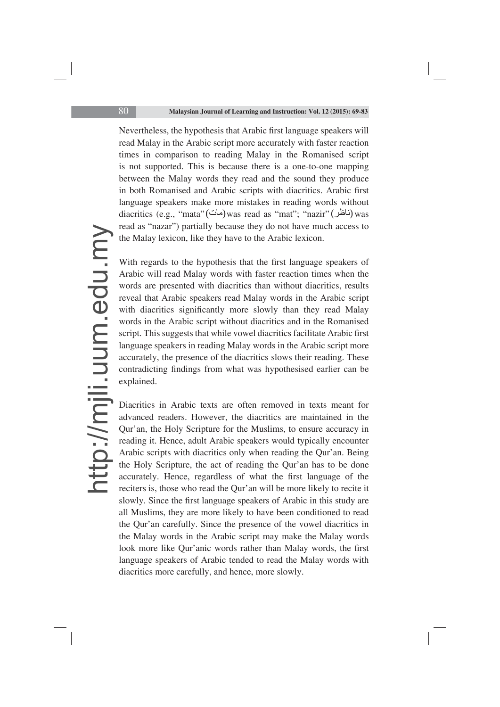Nevertheless, the hypothesis that Arabic first language speakers will read Malay in the Arabic script more accurately with faster reaction times in comparison to reading Malay in the Romanised script is not supported. This is because there is a one-to-one mapping between the Malay words they read and the sound they produce in both Romanised and Arabic scripts with diacritics. Arabic first language speakers make more mistakes in reading words without diacritics (e.g., "mata"(مات) was read as "mat"; "nazir" (بالمطن) was read as "nazar") partially because they do not have much access to the Malay lexicon, like they have to the Arabic lexicon.

With regards to the hypothesis that the first language speakers of Arabic will read Malay words with faster reaction times when the words are presented with diacritics than without diacritics, results reveal that Arabic speakers read Malay words in the Arabic script with diacritics significantly more slowly than they read Malay words in the Arabic script without diacritics and in the Romanised script. This suggests that while vowel diacritics facilitate Arabic first language speakers in reading Malay words in the Arabic script more accurately, the presence of the diacritics slows their reading. These contradicting findings from what was hypothesised earlier can be explained.

Diacritics in Arabic texts are often removed in texts meant for advanced readers. However, the diacritics are maintained in the Qur'an, the Holy Scripture for the Muslims, to ensure accuracy in reading it. Hence, adult Arabic speakers would typically encounter Arabic scripts with diacritics only when reading the Qur'an. Being the Holy Scripture, the act of reading the Qur'an has to be done accurately. Hence, regardless of what the first language of the reciters is, those who read the Qur'an will be more likely to recite it slowly. Since the first language speakers of Arabic in this study are all Muslims, they are more likely to have been conditioned to read the Qur'an carefully. Since the presence of the vowel diacritics in the Malay words in the Arabic script may make the Malay words look more like Qur'anic words rather than Malay words, the first language speakers of Arabic tended to read the Malay words with diacritics more carefully, and hence, more slowly.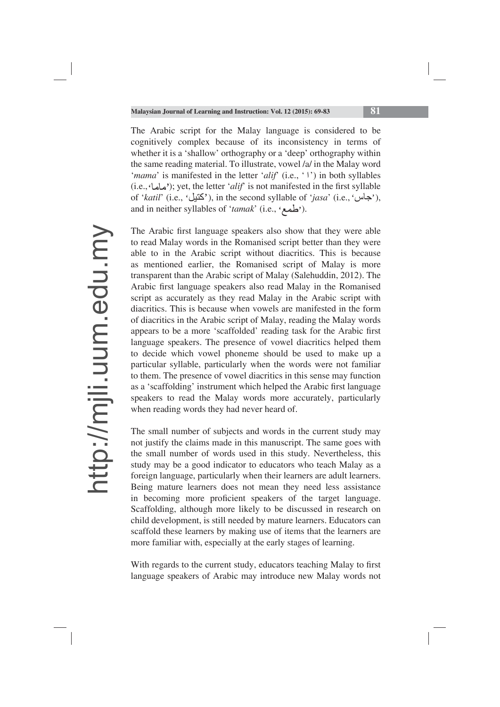The Arabic script for the Malay language is considered to be cognitively complex because of its inconsistency in terms of whether it is a 'shallow' orthography or a 'deep' orthography within the same reading material. To illustrate, vowel /a/ in the Malay word '*mama*' is manifested in the letter '*alif*' (i.e., ' ') in both syllables (i.e., 'ماما'); yet, the letter '*alif'* is not manifested in the first syllable (i.e., ماها<sup>)</sup>; yet, the letter '*alif'* is not manifested in the first syllable of '*katil'* (i.e., 'كتيل'), in the second syllable of '*jasa*' (i.e., 'حاسن'), and in neither syllables of *'tamak*' (i.e., 'صلحه').

The Arabic first language speakers also show that they were able to read Malay words in the Romanised script better than they were able to in the Arabic script without diacritics. This is because as mentioned earlier, the Romanised script of Malay is more transparent than the Arabic script of Malay (Salehuddin, 2012). The Arabic first language speakers also read Malay in the Romanised script as accurately as they read Malay in the Arabic script with diacritics. This is because when vowels are manifested in the form of diacritics in the Arabic script of Malay, reading the Malay words appears to be a more 'scaffolded' reading task for the Arabic first language speakers. The presence of vowel diacritics helped them to decide which vowel phoneme should be used to make up a particular syllable, particularly when the words were not familiar to them. The presence of vowel diacritics in this sense may function as a 'scaffolding' instrument which helped the Arabic first language speakers to read the Malay words more accurately, particularly when reading words they had never heard of.

The small number of subjects and words in the current study may not justify the claims made in this manuscript. The same goes with the small number of words used in this study. Nevertheless, this study may be a good indicator to educators who teach Malay as a foreign language, particularly when their learners are adult learners. Being mature learners does not mean they need less assistance in becoming more proficient speakers of the target language. Scaffolding, although more likely to be discussed in research on child development, is still needed by mature learners. Educators can scaffold these learners by making use of items that the learners are more familiar with, especially at the early stages of learning.

With regards to the current study, educators teaching Malay to first language speakers of Arabic may introduce new Malay words not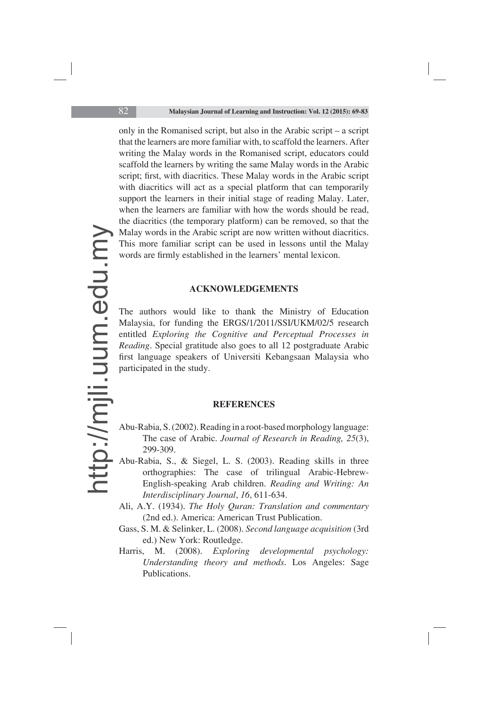only in the Romanised script, but also in the Arabic script – a script that the learners are more familiar with, to scaffold the learners. After writing the Malay words in the Romanised script, educators could scaffold the learners by writing the same Malay words in the Arabic script; first, with diacritics. These Malay words in the Arabic script with diacritics will act as a special platform that can temporarily support the learners in their initial stage of reading Malay. Later, when the learners are familiar with how the words should be read, the diacritics (the temporary platform) can be removed, so that the Malay words in the Arabic script are now written without diacritics. This more familiar script can be used in lessons until the Malay words are firmly established in the learners' mental lexicon.

#### **ACKNOWLEDGEMENTS**

The authors would like to thank the Ministry of Education Malaysia, for funding the ERGS/1/2011/SSI/UKM/02/5 research entitled *Exploring the Cognitive and Perceptual Processes in Reading*. Special gratitude also goes to all 12 postgraduate Arabic first language speakers of Universiti Kebangsaan Malaysia who participated in the study.

#### **REFERENCES**

- Abu-Rabia, S. (2002). Reading in a root-based morphology language: The case of Arabic. *Journal of Research in Reading, 25*(3), 299-309.
- Abu-Rabia, S., & Siegel, L. S. (2003). Reading skills in three orthographies: The case of trilingual Arabic-Hebrew-English-speaking Arab children. *Reading and Writing: An Interdisciplinary Journal*, *16*, 611-634.
- Ali, A.Y. (1934). *The Holy Quran: Translation and commentary*  (2nd ed.). America: American Trust Publication.
- Gass, S. M. & Selinker, L. (2008). *Second language acquisition* (3rd ed.) New York: Routledge.
- Harris, M. (2008). *Exploring developmental psychology: Understanding theory and methods*. Los Angeles: Sage Publications.